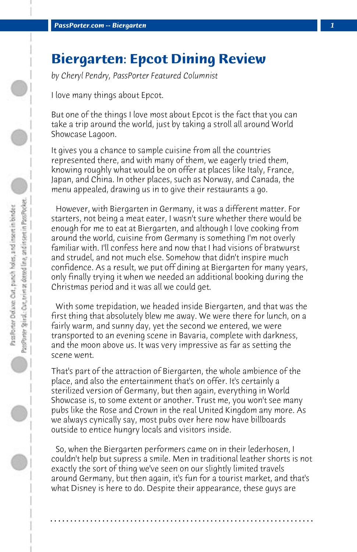## **Biergarten: Epcot Dining Review**

*by Cheryl Pendry, PassPorter Featured Columnist*

I love many things about Epcot.

But one of the things I love most about Epcot is the fact that you can take a trip around the world, just by taking a stroll all around World Showcase Lagoon.

It gives you a chance to sample cuisine from all the countries represented there, and with many of them, we eagerly tried them, knowing roughly what would be on offer at places like Italy, France, Japan, and China. In other places, such as Norway, and Canada, the menu appealed, drawing us in to give their restaurants a go.

 However, with Biergarten in Germany, it was a different matter. For starters, not being a meat eater, I wasn't sure whether there would be enough for me to eat at Biergarten, and although I love cooking from around the world, cuisine from Germany is something I'm not overly familiar with. I'll confess here and now that I had visions of bratwurst and strudel, and not much else. Somehow that didn't inspire much confidence. As a result, we put off dining at Biergarten for many years, only finally trying it when we needed an additional booking during the Christmas period and it was all we could get.

 With some trepidation, we headed inside Biergarten, and that was the first thing that absolutely blew me away. We were there for lunch, on a fairly warm, and sunny day, yet the second we entered, we were transported to an evening scene in Bavaria, complete with darkness, and the moon above us. It was very impressive as far as setting the scene went.

That's part of the attraction of Biergarten, the whole ambience of the place, and also the entertainment that's on offer. It's certainly a sterilized version of Germany, but then again, everything in World Showcase is, to some extent or another. Trust me, you won't see many pubs like the Rose and Crown in the real United Kingdom any more. As we always cynically say, most pubs over here now have billboards outside to entice hungry locals and visitors inside.

 So, when the Biergarten performers came on in their lederhosen, I couldn't help but supress a smile. Men in traditional leather shorts is not exactly the sort of thing we've seen on our slightly limited travels around Germany, but then again, it's fun for a tourist market, and that's what Disney is here to do. Despite their appearance, these guys are

**. . . . . . . . . . . . . . . . . . . . . . . . . . . . . . . . . . . . . . . . . . . . . . . . . . . . . . . . . . . . . . . . . .**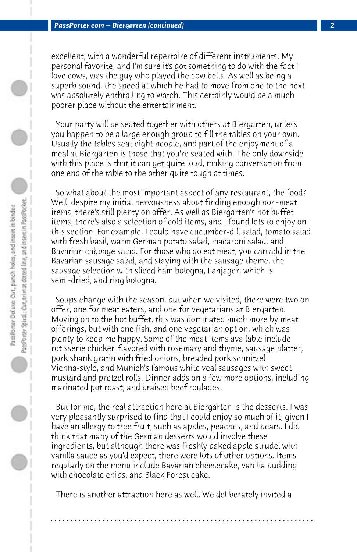excellent, with a wonderful repertoire of different instruments. My personal favorite, and I'm sure it's got something to do with the fact I love cows, was the guy who played the cow bells. As well as being a superb sound, the speed at which he had to move from one to the next was absolutely enthralling to watch. This certainly would be a much poorer place without the entertainment.

 Your party will be seated together with others at Biergarten, unless you happen to be a large enough group to fill the tables on your own. Usually the tables seat eight people, and part of the enjoyment of a meal at Biergarten is those that you're seated with. The only downside with this place is that it can get quite loud, making conversation from one end of the table to the other quite tough at times.

 So what about the most important aspect of any restaurant, the food? Well, despite my initial nervousness about finding enough non-meat items, there's still plenty on offer. As well as Biergarten's hot buffet items, there's also a selection of cold items, and I found lots to enjoy on this section. For example, I could have cucumber-dill salad, tomato salad with fresh basil, warm German potato salad, macaroni salad, and Bavarian cabbage salad. For those who do eat meat, you can add in the Bavarian sausage salad, and staying with the sausage theme, the sausage selection with sliced ham bologna, Lanjager, which is semi-dried, and ring bologna.

 Soups change with the season, but when we visited, there were two on offer, one for meat eaters, and one for vegetarians at Biergarten. Moving on to the hot buffet, this was dominated much more by meat offerings, but with one fish, and one vegetarian option, which was plenty to keep me happy. Some of the meat items available include rotisserie chicken flavored with rosemary and thyme, sausage platter, pork shank gratin with fried onions, breaded pork schnitzel Vienna-style, and Munich's famous white veal sausages with sweet mustard and pretzel rolls. Dinner adds on a few more options, including marinated pot roast, and braised beef roulades.

 But for me, the real attraction here at Biergarten is the desserts. I was very pleasantly surprised to find that I could enjoy so much of it, given I have an allergy to tree fruit, such as apples, peaches, and pears. I did think that many of the German desserts would involve these ingredients, but although there was freshly baked apple strudel with vanilla sauce as you'd expect, there were lots of other options. Items regularly on the menu include Bavarian cheesecake, vanilla pudding with chocolate chips, and Black Forest cake.

 There is another attraction here as well. We deliberately invited a

**. . . . . . . . . . . . . . . . . . . . . . . . . . . . . . . . . . . . . . . . . . . . . . . . . . . . . . . . . . . . . . . . . .**